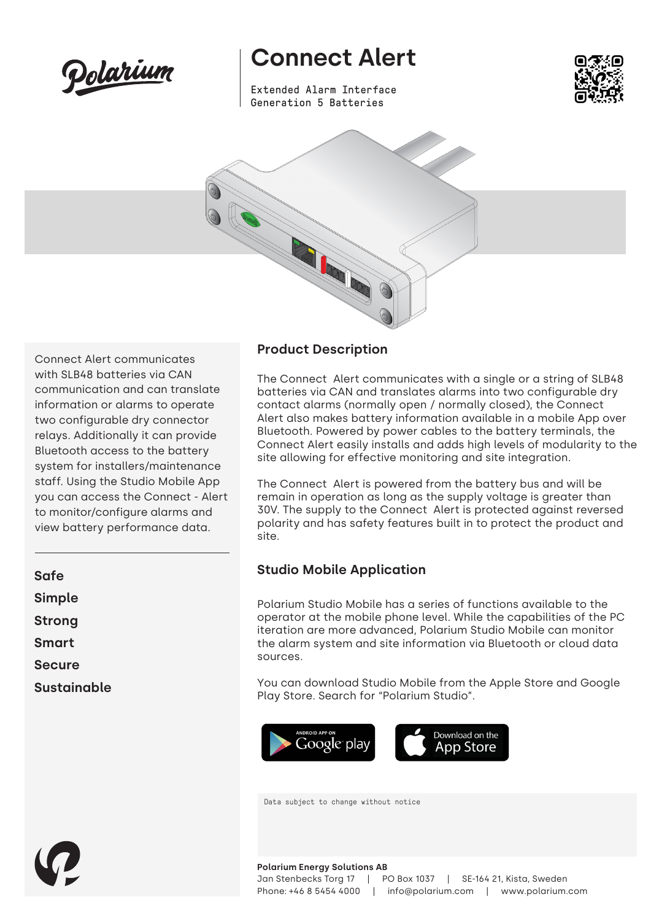

Connect Alert communicates with SLB48 batteries via CAN communication and can translate information or alarms to operate two configurable dry connector relays. Additionally it can provide Bluetooth access to the battery system for installers/maintenance staff. Using the Studio Mobile App you can access the Connect - Alert to monitor/configure alarms and view battery performance data.

## **Connect Alert**

Extended Alarm Interface Generation 5 Batteries





**Product Description**

The Connect Alert communicates with a single or a string of SLB48 batteries via CAN and translates alarms into two configurable dry contact alarms (normally open / normally closed), the Connect Alert also makes battery information available in a mobile App over Bluetooth. Powered by power cables to the battery terminals, the Connect Alert easily installs and adds high levels of modularity to the site allowing for effective monitoring and site integration.

The Connect Alert is powered from the battery bus and will be remain in operation as long as the supply voltage is greater than 30V. The supply to the Connect Alert is protected against reversed polarity and has safety features built in to protect the product and site.

## **Studio Mobile Application**

Polarium Studio Mobile has a series of functions available to the operator at the mobile phone level. While the capabilities of the PC iteration are more advanced, Polarium Studio Mobile can monitor the alarm system and site information via Bluetooth or cloud data sources.

You can download Studio Mobile from the Apple Store and Google Play Store. Search for "Polarium Studio".



Data subject to change without notice

| Safe               |  |
|--------------------|--|
| Simple             |  |
| Strong             |  |
| <b>Smart</b>       |  |
| <b>Secure</b>      |  |
| <b>Sustainable</b> |  |